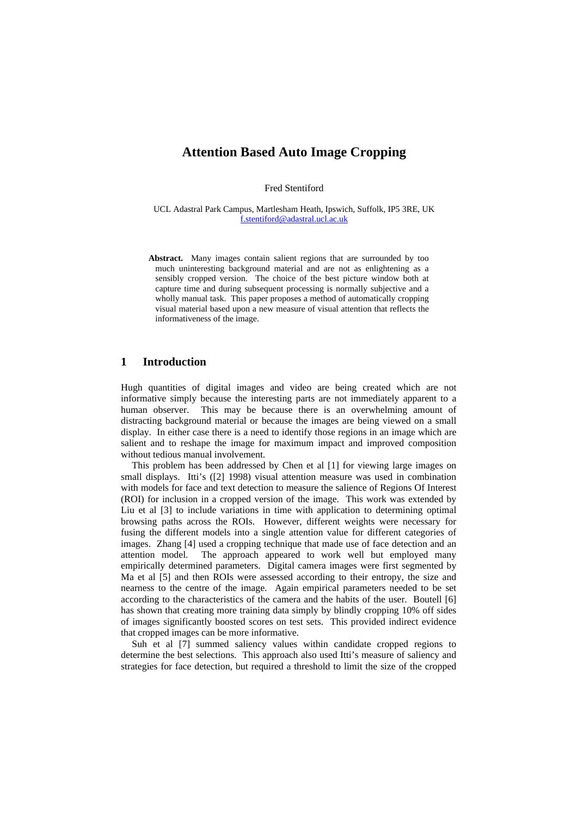Fred Stentiford

UCL Adastral Park Campus, Martlesham Heath, Ipswich, Suffolk, IP5 3RE, UK f.stentiford@adastral.ucl.ac.uk

**Abstract.** Many images contain salient regions that are surrounded by too much uninteresting background material and are not as enlightening as a sensibly cropped version. The choice of the best picture window both at capture time and during subsequent processing is normally subjective and a wholly manual task. This paper proposes a method of automatically cropping visual material based upon a new measure of visual attention that reflects the informativeness of the image.

### **1 Introduction**

Hugh quantities of digital images and video are being created which are not informative simply because the interesting parts are not immediately apparent to a human observer. This may be because there is an overwhelming amount of distracting background material or because the images are being viewed on a small display. In either case there is a need to identify those regions in an image which are salient and to reshape the image for maximum impact and improved composition without tedious manual involvement.

This problem has been addressed by Chen et al [1] for viewing large images on small displays. Itti's ([2] 1998) visual attention measure was used in combination with models for face and text detection to measure the salience of Regions Of Interest (ROI) for inclusion in a cropped version of the image. This work was extended by Liu et al [3] to include variations in time with application to determining optimal browsing paths across the ROIs. However, different weights were necessary for fusing the different models into a single attention value for different categories of images. Zhang [4] used a cropping technique that made use of face detection and an attention model. The approach appeared to work well but employed many empirically determined parameters. Digital camera images were first segmented by Ma et al [5] and then ROIs were assessed according to their entropy, the size and nearness to the centre of the image. Again empirical parameters needed to be set according to the characteristics of the camera and the habits of the user. Boutell [6] has shown that creating more training data simply by blindly cropping 10% off sides of images significantly boosted scores on test sets. This provided indirect evidence that cropped images can be more informative.

Suh et al [7] summed saliency values within candidate cropped regions to determine the best selections. This approach also used Itti's measure of saliency and strategies for face detection, but required a threshold to limit the size of the cropped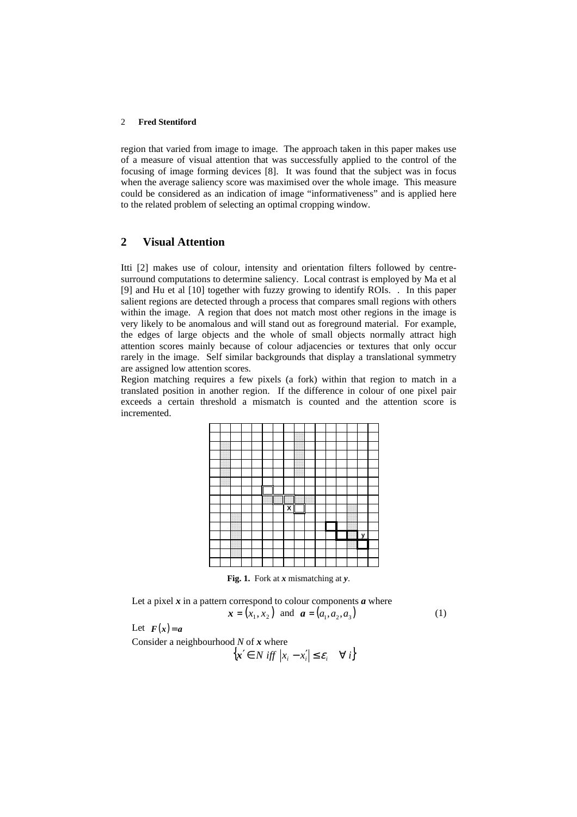region that varied from image to image. The approach taken in this paper makes use of a measure of visual attention that was successfully applied to the control of the focusing of image forming devices [8]. It was found that the subject was in focus when the average saliency score was maximised over the whole image. This measure could be considered as an indication of image "informativeness" and is applied here to the related problem of selecting an optimal cropping window.

# **2 Visual Attention**

Itti [2] makes use of colour, intensity and orientation filters followed by centresurround computations to determine saliency. Local contrast is employed by Ma et al [9] and Hu et al [10] together with fuzzy growing to identify ROIs. . In this paper salient regions are detected through a process that compares small regions with others within the image. A region that does not match most other regions in the image is very likely to be anomalous and will stand out as foreground material. For example, the edges of large objects and the whole of small objects normally attract high attention scores mainly because of colour adjacencies or textures that only occur rarely in the image. Self similar backgrounds that display a translational symmetry are assigned low attention scores.

Region matching requires a few pixels (a fork) within that region to match in a translated position in another region. If the difference in colour of one pixel pair exceeds a certain threshold a mismatch is counted and the attention score is incremented.

| ŀ |                             |   |
|---|-----------------------------|---|
|   | <br>$\overline{\mathbf{x}}$ |   |
|   |                             |   |
|   |                             |   |
|   |                             | У |
|   |                             |   |
|   |                             |   |
|   |                             |   |
|   |                             |   |

**Fig. 1.** Fork at *x* mismatching at *y*.

Let a pixel  $x$  in a pattern correspond to colour components  $a$  where

$$
x = (x_1, x_2)
$$
 and  $a = (a_1, a_2, a_3)$  (1)

Let  $F(x)=a$ 

Consider a neighbourhood *N* of *x* where  ${x \in N \text{ iff } |x_i - x'_i| \le \varepsilon_i \quad \forall i}$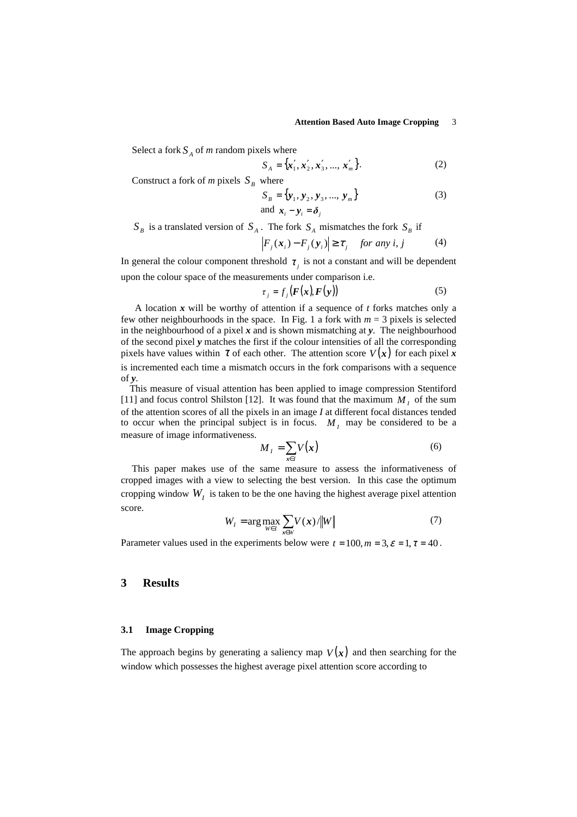Select a fork  $S_A$  of *m* random pixels where

$$
S_A = \{x'_1, x'_2, x'_3, ..., x'_m\}.
$$
 (2)

Construct a fork of *m* pixels  $S_B$  where

$$
S_B = {\mathbf{y}_1, \mathbf{y}_2, \mathbf{y}_3, ..., \mathbf{y}_m}
$$
  
and  $\mathbf{x}_i - \mathbf{y}_i = \delta_j$  (3)

 $S_B$  is a translated version of  $S_A$ . The fork  $S_A$  mismatches the fork  $S_B$  if

$$
\left| F_j(\mathbf{x}_i) - F_j(\mathbf{y}_i) \right| \ge \tau_j \quad \text{for any } i, j \tag{4}
$$

In general the colour component threshold  $\tau_j$  is not a constant and will be dependent upon the colour space of the measurements under comparison i.e.

$$
\tau_j = f_j(\mathbf{F}(\mathbf{x}), \mathbf{F}(\mathbf{y})) \tag{5}
$$

A location *x* will be worthy of attention if a sequence of *t* forks matches only a few other neighbourhoods in the space. In Fig. 1 a fork with  $m = 3$  pixels is selected in the neighbourhood of a pixel *x* and is shown mismatching at *y*. The neighbourhood of the second pixel *y* matches the first if the colour intensities of all the corresponding pixels have values within  $\tau$  of each other. The attention score  $V(x)$  for each pixel x is incremented each time a mismatch occurs in the fork comparisons with a sequence of *y*.

This measure of visual attention has been applied to image compression Stentiford [11] and focus control Shilston [12]. It was found that the maximum  $M<sub>I</sub>$  of the sum of the attention scores of all the pixels in an image *I* at different focal distances tended to occur when the principal subject is in focus.  $M<sub>I</sub>$  may be considered to be a measure of image informativeness.

$$
M_{I} = \sum_{x \in I} V(x) \tag{6}
$$

This paper makes use of the same measure to assess the informativeness of cropped images with a view to selecting the best version. In this case the optimum cropping window  $W_I$  is taken to be the one having the highest average pixel attention score.

$$
W_I = \arg \max_{W \in I} \sum_{\mathbf{x} \in W} V(\mathbf{x}) / \|W\| \tag{7}
$$

Parameter values used in the experiments below were  $t = 100, m = 3, \varepsilon = 1, \tau = 40$ .

### **3 Results**

#### **3.1 Image Cropping**

The approach begins by generating a saliency map  $V(x)$  and then searching for the window which possesses the highest average pixel attention score according to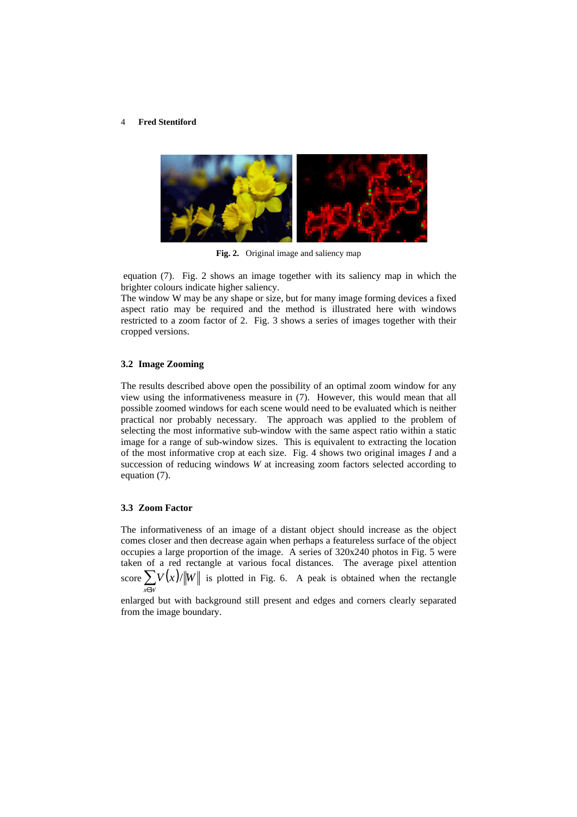

**Fig. 2.** Original image and saliency map

 equation (7). Fig. 2 shows an image together with its saliency map in which the brighter colours indicate higher saliency.

The window W may be any shape or size, but for many image forming devices a fixed aspect ratio may be required and the method is illustrated here with windows restricted to a zoom factor of 2. Fig. 3 shows a series of images together with their cropped versions.

#### **3.2 Image Zooming**

The results described above open the possibility of an optimal zoom window for any view using the informativeness measure in (7). However, this would mean that all possible zoomed windows for each scene would need to be evaluated which is neither practical nor probably necessary. The approach was applied to the problem of selecting the most informative sub-window with the same aspect ratio within a static image for a range of sub-window sizes. This is equivalent to extracting the location of the most informative crop at each size. Fig. 4 shows two original images *I* and a succession of reducing windows *W* at increasing zoom factors selected according to equation (7).

### **3.3 Zoom Factor**

The informativeness of an image of a distant object should increase as the object comes closer and then decrease again when perhaps a featureless surface of the object occupies a large proportion of the image. A series of  $320x240$  photos in Fig. 5 were taken of a red rectangle at various focal distances. The average pixel attention score  $\sum V(x)/||W||$  is plotted in Fig. 6. A peak is obtained when the rectangle *x*∈*W*

enlarged but with background still present and edges and corners clearly separated from the image boundary.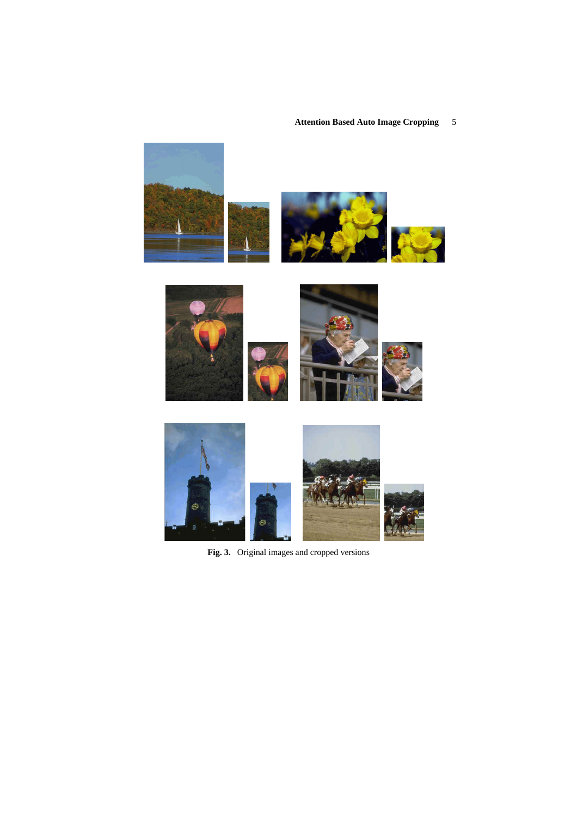

**Fig. 3.** Original images and cropped versions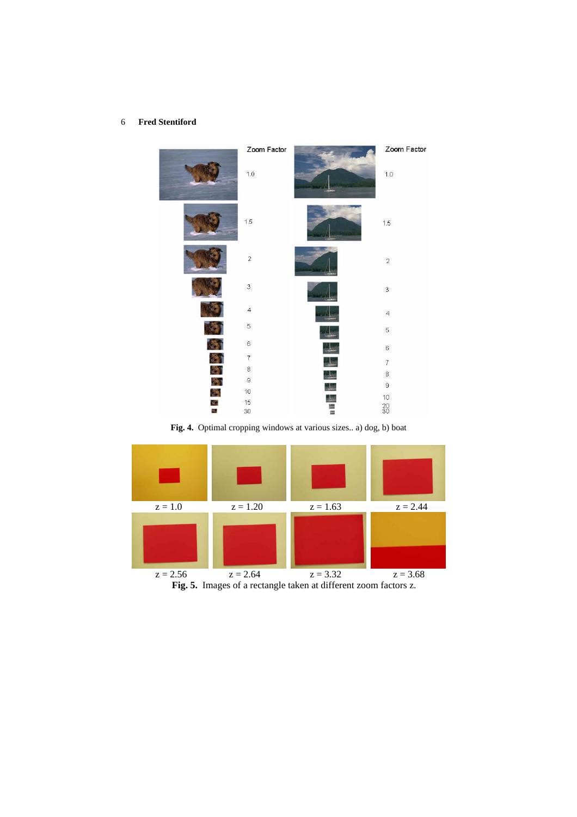

**Fig. 4.** Optimal cropping windows at various sizes.. a) dog, b) boat

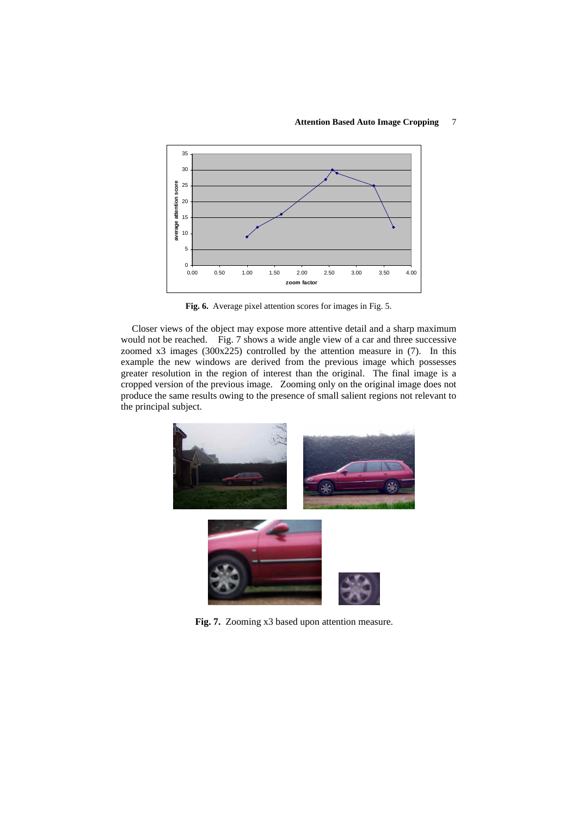

**Fig. 6.** Average pixel attention scores for images in Fig. 5.

Closer views of the object may expose more attentive detail and a sharp maximum would not be reached. Fig. 7 shows a wide angle view of a car and three successive zoomed x3 images (300x225) controlled by the attention measure in (7). In this example the new windows are derived from the previous image which possesses greater resolution in the region of interest than the original. The final image is a cropped version of the previous image. Zooming only on the original image does not produce the same results owing to the presence of small salient regions not relevant to the principal subject.



**Fig. 7.** Zooming x3 based upon attention measure.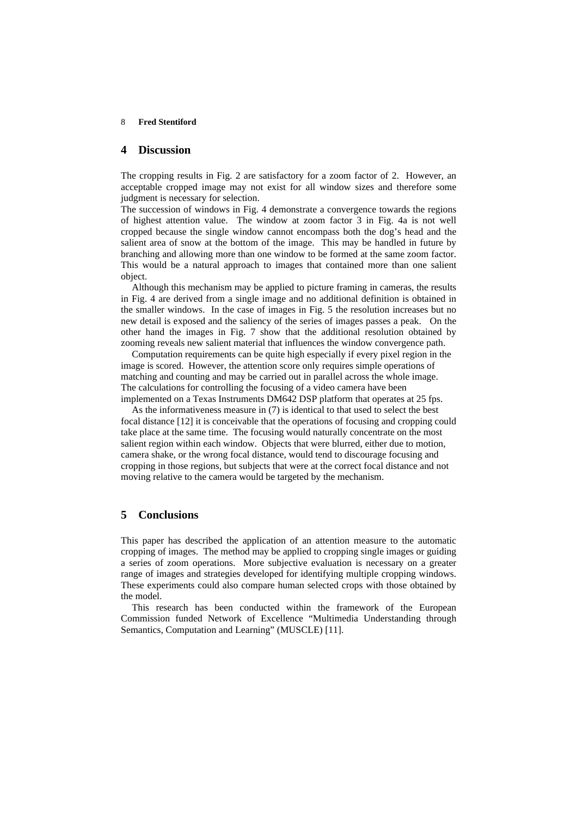### **4 Discussion**

The cropping results in Fig. 2 are satisfactory for a zoom factor of 2. However, an acceptable cropped image may not exist for all window sizes and therefore some judgment is necessary for selection.

The succession of windows in Fig. 4 demonstrate a convergence towards the regions of highest attention value. The window at zoom factor 3 in Fig. 4a is not well cropped because the single window cannot encompass both the dog's head and the salient area of snow at the bottom of the image. This may be handled in future by branching and allowing more than one window to be formed at the same zoom factor. This would be a natural approach to images that contained more than one salient object.

Although this mechanism may be applied to picture framing in cameras, the results in Fig. 4 are derived from a single image and no additional definition is obtained in the smaller windows. In the case of images in Fig. 5 the resolution increases but no new detail is exposed and the saliency of the series of images passes a peak. On the other hand the images in Fig. 7 show that the additional resolution obtained by zooming reveals new salient material that influences the window convergence path.

Computation requirements can be quite high especially if every pixel region in the image is scored. However, the attention score only requires simple operations of matching and counting and may be carried out in parallel across the whole image. The calculations for controlling the focusing of a video camera have been implemented on a Texas Instruments DM642 DSP platform that operates at 25 fps.

As the informativeness measure in (7) is identical to that used to select the best focal distance [12] it is conceivable that the operations of focusing and cropping could take place at the same time. The focusing would naturally concentrate on the most salient region within each window. Objects that were blurred, either due to motion, camera shake, or the wrong focal distance, would tend to discourage focusing and cropping in those regions, but subjects that were at the correct focal distance and not moving relative to the camera would be targeted by the mechanism.

## **5 Conclusions**

This paper has described the application of an attention measure to the automatic cropping of images. The method may be applied to cropping single images or guiding a series of zoom operations. More subjective evaluation is necessary on a greater range of images and strategies developed for identifying multiple cropping windows. These experiments could also compare human selected crops with those obtained by the model.

This research has been conducted within the framework of the European Commission funded Network of Excellence "Multimedia Understanding through Semantics, Computation and Learning" (MUSCLE) [11].